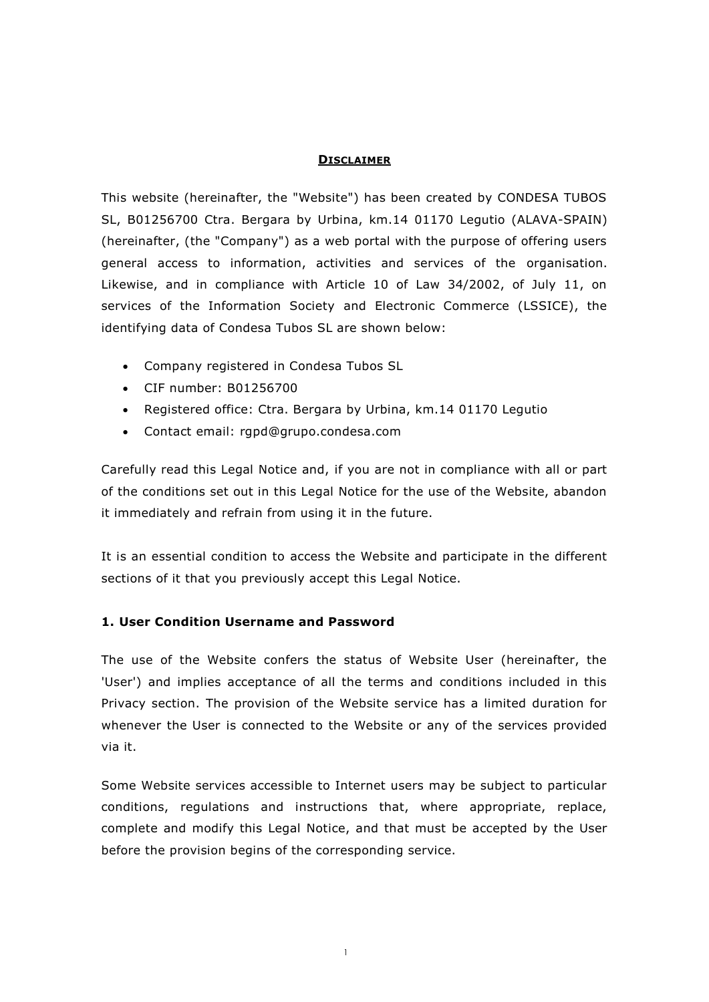### **DISCLAIMER**

This website (hereinafter, the "Website") has been created by CONDESA TUBOS SL, B01256700 Ctra. Bergara by Urbina, km.14 01170 Legutio (ALAVA-SPAIN) (hereinafter, (the "Company") as a web portal with the purpose of offering users general access to information, activities and services of the organisation. Likewise, and in compliance with Article 10 of Law 34/2002, of July 11, on services of the Information Society and Electronic Commerce (LSSICE), the identifying data of Condesa Tubos SL are shown below:

- Company registered in Condesa Tubos SL
- CIF number: B01256700
- Registered office: Ctra. Bergara by Urbina, km.14 01170 Legutio
- Contact email: rgpd@grupo.condesa.com

Carefully read this Legal Notice and, if you are not in compliance with all or part of the conditions set out in this Legal Notice for the use of the Website, abandon it immediately and refrain from using it in the future.

It is an essential condition to access the Website and participate in the different sections of it that you previously accept this Legal Notice.

# **1. User Condition Username and Password**

The use of the Website confers the status of Website User (hereinafter, the 'User') and implies acceptance of all the terms and conditions included in this Privacy section. The provision of the Website service has a limited duration for whenever the User is connected to the Website or any of the services provided via it.

Some Website services accessible to Internet users may be subject to particular conditions, regulations and instructions that, where appropriate, replace, complete and modify this Legal Notice, and that must be accepted by the User before the provision begins of the corresponding service.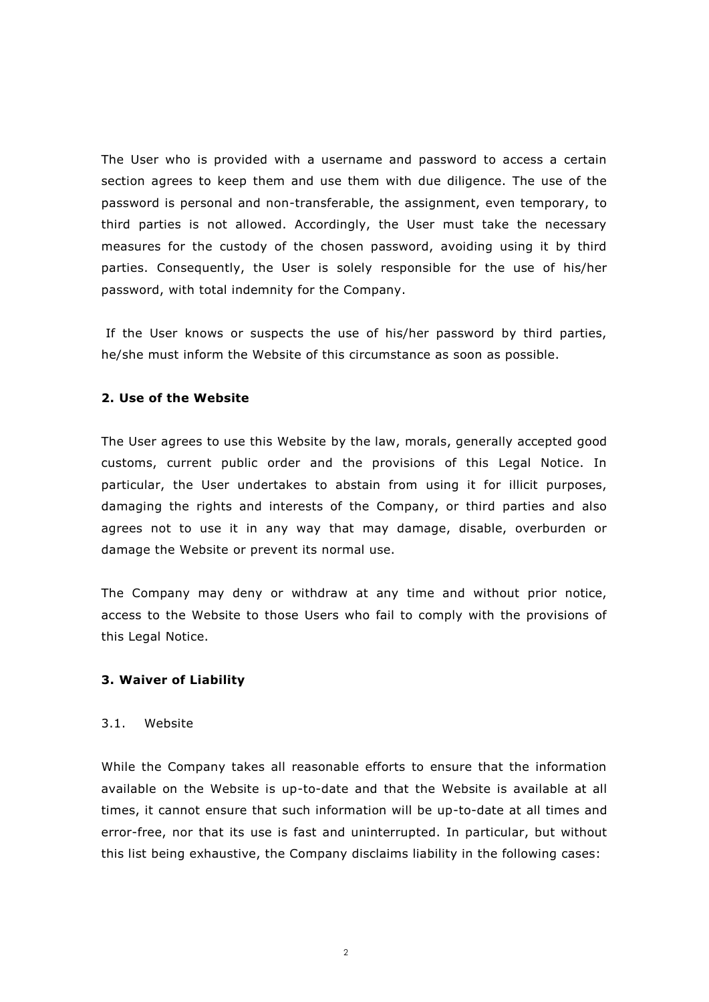The User who is provided with a username and password to access a certain section agrees to keep them and use them with due diligence. The use of the password is personal and non-transferable, the assignment, even temporary, to third parties is not allowed. Accordingly, the User must take the necessary measures for the custody of the chosen password, avoiding using it by third parties. Consequently, the User is solely responsible for the use of his/her password, with total indemnity for the Company.

If the User knows or suspects the use of his/her password by third parties, he/she must inform the Website of this circumstance as soon as possible.

### **2. Use of the Website**

The User agrees to use this Website by the law, morals, generally accepted good customs, current public order and the provisions of this Legal Notice. In particular, the User undertakes to abstain from using it for illicit purposes, damaging the rights and interests of the Company, or third parties and also agrees not to use it in any way that may damage, disable, overburden or damage the Website or prevent its normal use.

The Company may deny or withdraw at any time and without prior notice, access to the Website to those Users who fail to comply with the provisions of this Legal Notice.

#### **3. Waiver of Liability**

#### 3.1. Website

While the Company takes all reasonable efforts to ensure that the information available on the Website is up-to-date and that the Website is available at all times, it cannot ensure that such information will be up-to-date at all times and error-free, nor that its use is fast and uninterrupted. In particular, but without this list being exhaustive, the Company disclaims liability in the following cases: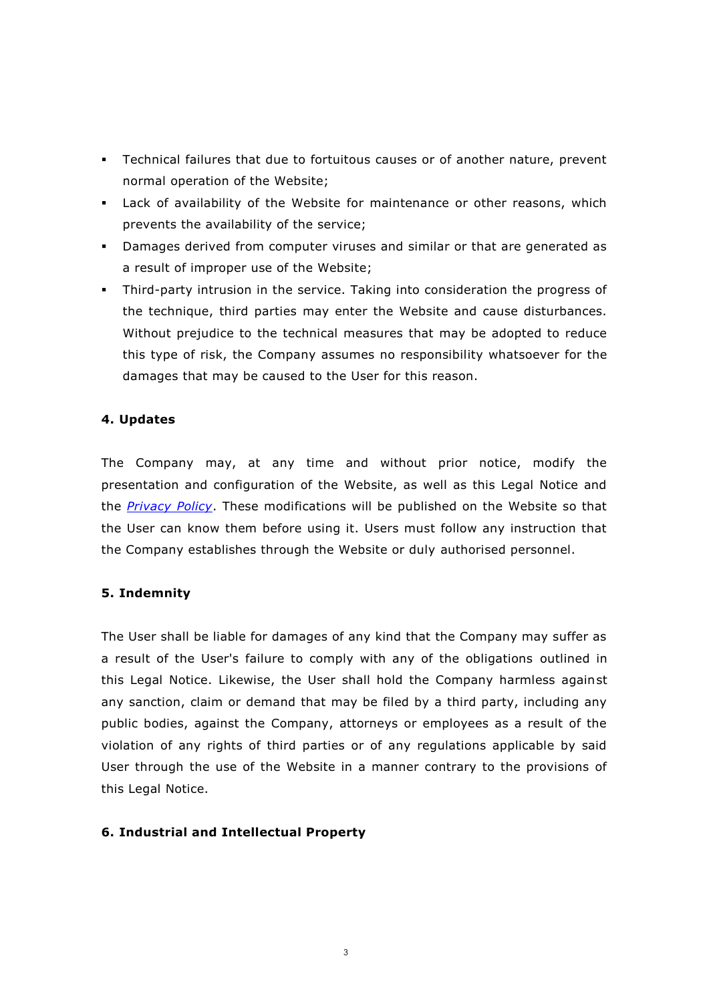- Technical failures that due to fortuitous causes or of another nature, prevent normal operation of the Website;
- Lack of availability of the Website for maintenance or other reasons, which prevents the availability of the service;
- Damages derived from computer viruses and similar or that are generated as a result of improper use of the Website;
- Third-party intrusion in the service. Taking into consideration the progress of the technique, third parties may enter the Website and cause disturbances. Without prejudice to the technical measures that may be adopted to reduce this type of risk, the Company assumes no responsibility whatsoever for the damages that may be caused to the User for this reason.

# **4. Updates**

The Company may, at any time and without prior notice, modify the presentation and configuration of the Website, as well as this Legal Notice and the *[Privacy Policy](POLITICA%20PRIVACIDAD%20ONLINE.pdf)*. These modifications will be published on the Website so that the User can know them before using it. Users must follow any instruction that the Company establishes through the Website or duly authorised personnel.

# **5. Indemnity**

The User shall be liable for damages of any kind that the Company may suffer as a result of the User's failure to comply with any of the obligations outlined in this Legal Notice. Likewise, the User shall hold the Company harmless against any sanction, claim or demand that may be filed by a third party, including any public bodies, against the Company, attorneys or employees as a result of the violation of any rights of third parties or of any regulations applicable by said User through the use of the Website in a manner contrary to the provisions of this Legal Notice.

# **6. Industrial and Intellectual Property**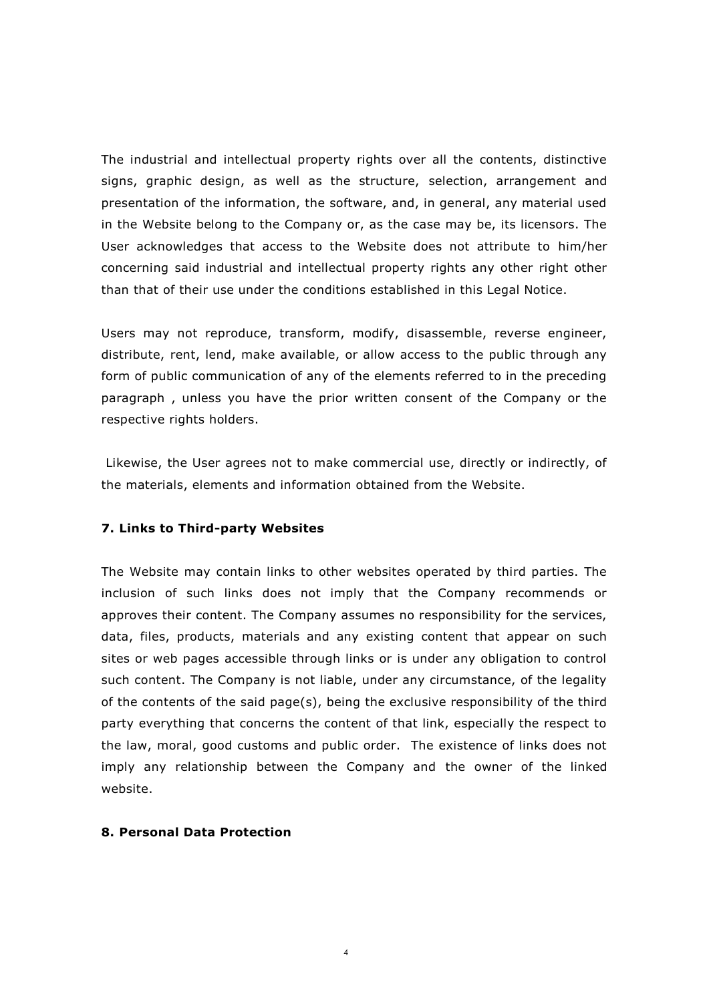The industrial and intellectual property rights over all the contents, distinctive signs, graphic design, as well as the structure, selection, arrangement and presentation of the information, the software, and, in general, any material used in the Website belong to the Company or, as the case may be, its licensors. The User acknowledges that access to the Website does not attribute to him/her concerning said industrial and intellectual property rights any other right other than that of their use under the conditions established in this Legal Notice.

Users may not reproduce, transform, modify, disassemble, reverse engineer, distribute, rent, lend, make available, or allow access to the public through any form of public communication of any of the elements referred to in the preceding paragraph , unless you have the prior written consent of the Company or the respective rights holders.

Likewise, the User agrees not to make commercial use, directly or indirectly, of the materials, elements and information obtained from the Website.

#### **7. Links to Third-party Websites**

The Website may contain links to other websites operated by third parties. The inclusion of such links does not imply that the Company recommends or approves their content. The Company assumes no responsibility for the services, data, files, products, materials and any existing content that appear on such sites or web pages accessible through links or is under any obligation to control such content. The Company is not liable, under any circumstance, of the legality of the contents of the said page(s), being the exclusive responsibility of the third party everything that concerns the content of that link, especially the respect to the law, moral, good customs and public order. The existence of links does not imply any relationship between the Company and the owner of the linked website.

#### **8. Personal Data Protection**